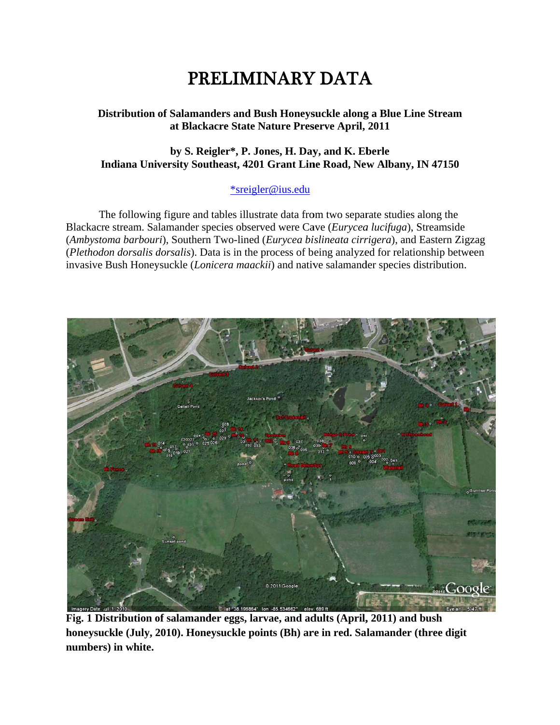# PRELIMINARY DATA

#### Distribution of Salamanders and Bush Honeysuckle along a Blue Line Stream at Blackacre State Nature Preserve April, 2011

## by S. Reigler\*, P. Jones, H. Day, and K. Eberle Indiana University Southeast, 4201 Grant Line Road, New Albany, IN 47150

# \*sreigler@ius.edu

The following figure and tables illustrate data from two separate studies along the Blackacre stream. Salamander species observed were Cave (Eurycea lucifuga), Streamside (Ambystoma barbouri), Southern Two-lined (Eurycea bislineata cirrigera), and Eastern Zigzag (Plethodon dorsalis dorsalis). Data is in the process of being analyzed for relationship between invasive Bush Honeysuckle (*Lonicera maackii*) and native salamander species distribution.



Fig. 1 Distribution of salamander eggs, larvae, and adults (April, 2011) and bush honeysuckle (July, 2010). Honeysuckle points (Bh) are in red. Salamander (three digit numbers) in white.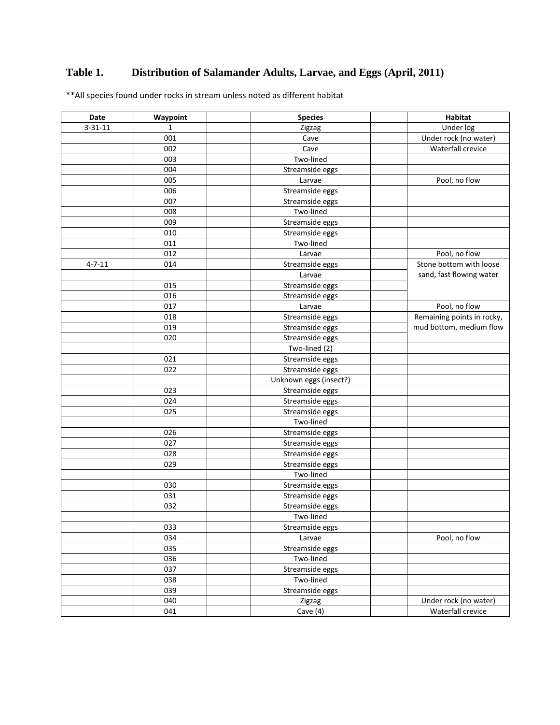# **Table 1. Distribution of Salamander Adults, Larvae, and Eggs (April, 2011)**

\*\*All species found under rocks in stream unless noted as different habitat

| Date          | Waypoint     | <b>Species</b>         | <b>Habitat</b>                                      |
|---------------|--------------|------------------------|-----------------------------------------------------|
| $3 - 31 - 11$ | $\mathbf{1}$ | Zigzag                 | Under log                                           |
|               | 001          | Cave                   | Under rock (no water)                               |
|               | 002          | Cave                   | Waterfall crevice                                   |
|               | 003          | Two-lined              |                                                     |
|               | 004          | Streamside eggs        |                                                     |
|               | 005          | Larvae                 | Pool, no flow                                       |
|               | 006          | Streamside eggs        |                                                     |
|               | 007          | Streamside eggs        |                                                     |
|               | 008          | Two-lined              |                                                     |
|               | 009          | Streamside eggs        |                                                     |
|               | 010          | Streamside eggs        |                                                     |
|               | 011          | Two-lined              |                                                     |
|               | 012          | Larvae                 | Pool, no flow                                       |
| $4 - 7 - 11$  | 014          | Streamside eggs        | Stone bottom with loose<br>sand, fast flowing water |
|               |              | Larvae                 |                                                     |
|               | 015          | Streamside eggs        |                                                     |
|               | 016          | Streamside eggs        |                                                     |
|               | 017          | Larvae                 | Pool, no flow                                       |
|               | 018          | Streamside eggs        | Remaining points in rocky,                          |
|               | 019          | Streamside eggs        | mud bottom, medium flow                             |
|               | 020          | Streamside eggs        |                                                     |
|               |              | Two-lined (2)          |                                                     |
|               | 021          | Streamside eggs        |                                                     |
|               | 022          | Streamside eggs        |                                                     |
|               |              | Unknown eggs (insect?) |                                                     |
|               | 023          | Streamside eggs        |                                                     |
|               | 024          | Streamside eggs        |                                                     |
|               | 025          | Streamside eggs        |                                                     |
|               |              | Two-lined              |                                                     |
|               | 026          | Streamside eggs        |                                                     |
|               | 027          | Streamside eggs        |                                                     |
|               | 028          | Streamside eggs        |                                                     |
|               | 029          | Streamside eggs        |                                                     |
|               |              | Two-lined              |                                                     |
|               | 030          | Streamside eggs        |                                                     |
|               | 031          | Streamside eggs        |                                                     |
|               | 032          | Streamside eggs        |                                                     |
|               |              | Two-lined              |                                                     |
|               | 033          | Streamside eggs        |                                                     |
|               | 034          | Larvae                 | Pool, no flow                                       |
|               | 035          | Streamside eggs        |                                                     |
|               | 036          | Two-lined              |                                                     |
|               | 037          | Streamside eggs        |                                                     |
|               | 038          | Two-lined              |                                                     |
|               | 039          | Streamside eggs        |                                                     |
|               | 040          | Zigzag                 | Under rock (no water)                               |
|               | 041          | Cave $(4)$             | Waterfall crevice                                   |